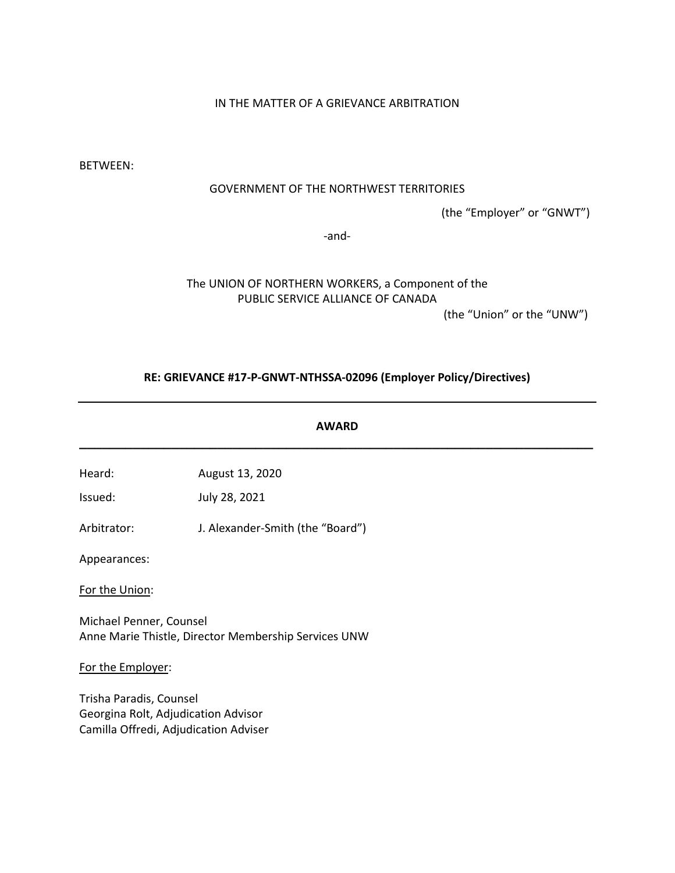# IN THE MATTER OF A GRIEVANCE ARBITRATION

BETWEEN:

## GOVERNMENT OF THE NORTHWEST TERRITORIES

(the "Employer" or "GNWT")

-and-

# The UNION OF NORTHERN WORKERS, a Component of the PUBLIC SERVICE ALLIANCE OF CANADA

(the "Union" or the "UNW")

## **RE: GRIEVANCE #17-P-GNWT-NTHSSA-02096 (Employer Policy/Directives)**

**AWARD \_\_\_\_\_\_\_\_\_\_\_\_\_\_\_\_\_\_\_\_\_\_\_\_\_\_\_\_\_\_\_\_\_\_\_\_\_\_\_\_\_\_\_\_\_\_\_\_\_\_\_\_\_\_\_\_\_\_\_\_\_\_\_\_\_\_\_**

Heard: August 13, 2020

Issued: July 28, 2021

Arbitrator: J. Alexander-Smith (the "Board")

Appearances:

For the Union:

Michael Penner, Counsel Anne Marie Thistle, Director Membership Services UNW

For the Employer:

Trisha Paradis, Counsel Georgina Rolt, Adjudication Advisor Camilla Offredi, Adjudication Adviser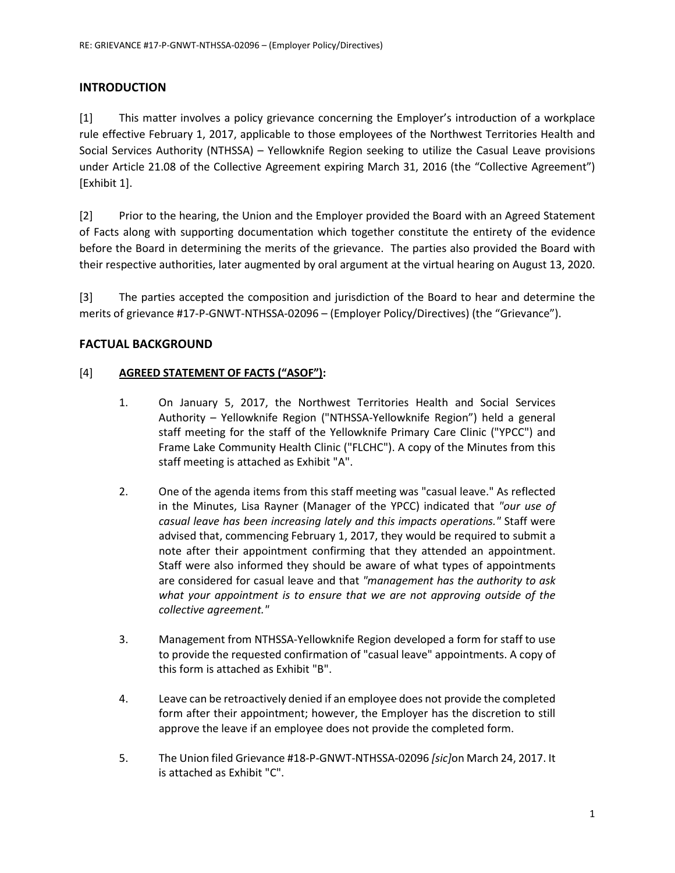# **INTRODUCTION**

[1] This matter involves a policy grievance concerning the Employer's introduction of a workplace rule effective February 1, 2017, applicable to those employees of the Northwest Territories Health and Social Services Authority (NTHSSA) – Yellowknife Region seeking to utilize the Casual Leave provisions under Article 21.08 of the Collective Agreement expiring March 31, 2016 (the "Collective Agreement") [Exhibit 1].

[2] Prior to the hearing, the Union and the Employer provided the Board with an Agreed Statement of Facts along with supporting documentation which together constitute the entirety of the evidence before the Board in determining the merits of the grievance. The parties also provided the Board with their respective authorities, later augmented by oral argument at the virtual hearing on August 13, 2020.

[3] The parties accepted the composition and jurisdiction of the Board to hear and determine the merits of grievance #17-P-GNWT-NTHSSA-02096 – (Employer Policy/Directives) (the "Grievance").

# **FACTUAL BACKGROUND**

## [4] **AGREED STATEMENT OF FACTS ("ASOF"):**

- 1. On January 5, 2017, the Northwest Territories Health and Social Services Authority – Yellowknife Region ("NTHSSA-Yellowknife Region") held a general staff meeting for the staff of the Yellowknife Primary Care Clinic ("YPCC") and Frame Lake Community Health Clinic ("FLCHC"). A copy of the Minutes from this staff meeting is attached as Exhibit "A".
- 2. One of the agenda items from this staff meeting was "casual leave." As reflected in the Minutes, Lisa Rayner (Manager of the YPCC) indicated that *"our use of casual leave has been increasing lately and this impacts operations."* Staff were advised that, commencing February 1, 2017, they would be required to submit a note after their appointment confirming that they attended an appointment. Staff were also informed they should be aware of what types of appointments are considered for casual leave and that *"management has the authority to ask what your appointment is to ensure that we are not approving outside of the collective agreement."*
- 3. Management from NTHSSA-Yellowknife Region developed a form for staff to use to provide the requested confirmation of "casual leave" appointments. A copy of this form is attached as Exhibit "B".
- 4. Leave can be retroactively denied if an employee does not provide the completed form after their appointment; however, the Employer has the discretion to still approve the leave if an employee does not provide the completed form.
- 5. The Union filed Grievance #18-P-GNWT-NTHSSA-02096 *[sic]*on March 24, 2017. It is attached as Exhibit "C".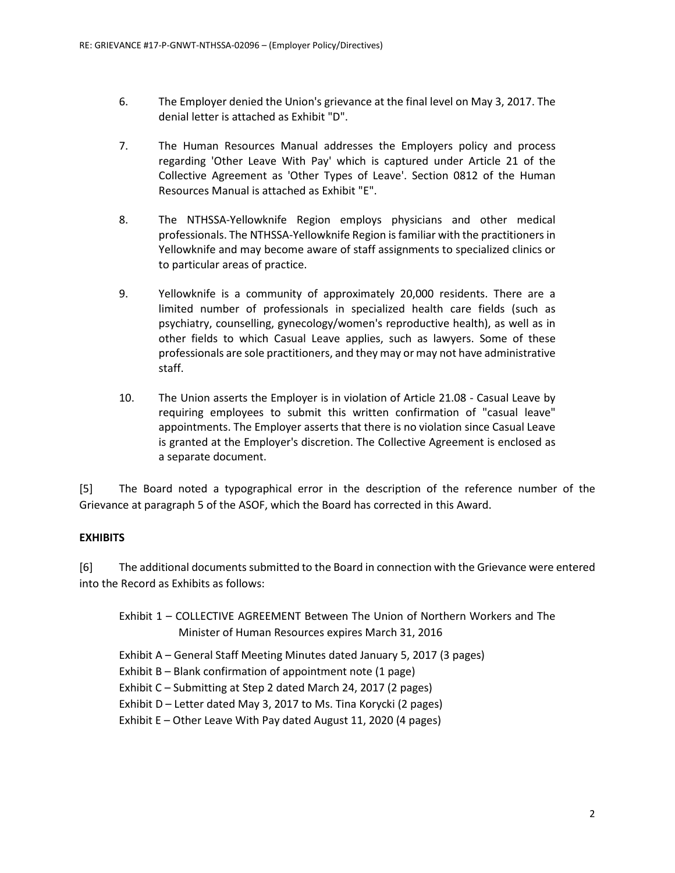- 6. The Employer denied the Union's grievance at the final level on May 3, 2017. The denial letter is attached as Exhibit "D".
- 7. The Human Resources Manual addresses the Employers policy and process regarding 'Other Leave With Pay' which is captured under Article 21 of the Collective Agreement as 'Other Types of Leave'. Section 0812 of the Human Resources Manual is attached as Exhibit "E".
- 8. The NTHSSA-Yellowknife Region employs physicians and other medical professionals. The NTHSSA-Yellowknife Region is familiar with the practitioners in Yellowknife and may become aware of staff assignments to specialized clinics or to particular areas of practice.
- 9. Yellowknife is a community of approximately 20,000 residents. There are a limited number of professionals in specialized health care fields (such as psychiatry, counselling, gynecology/women's reproductive health), as well as in other fields to which Casual Leave applies, such as lawyers. Some of these professionals are sole practitioners, and they may or may not have administrative staff.
- 10. The Union asserts the Employer is in violation of Article 21.08 Casual Leave by requiring employees to submit this written confirmation of "casual leave" appointments. The Employer asserts that there is no violation since Casual Leave is granted at the Employer's discretion. The Collective Agreement is enclosed as a separate document.

[5] The Board noted a typographical error in the description of the reference number of the Grievance at paragraph 5 of the ASOF, which the Board has corrected in this Award.

# **EXHIBITS**

[6] The additional documents submitted to the Board in connection with the Grievance were entered into the Record as Exhibits as follows:

Exhibit 1 – COLLECTIVE AGREEMENT Between The Union of Northern Workers and The Minister of Human Resources expires March 31, 2016

- Exhibit A General Staff Meeting Minutes dated January 5, 2017 (3 pages)
- Exhibit B Blank confirmation of appointment note (1 page)
- Exhibit C Submitting at Step 2 dated March 24, 2017 (2 pages)

Exhibit D – Letter dated May 3, 2017 to Ms. Tina Korycki (2 pages)

Exhibit E – Other Leave With Pay dated August 11, 2020 (4 pages)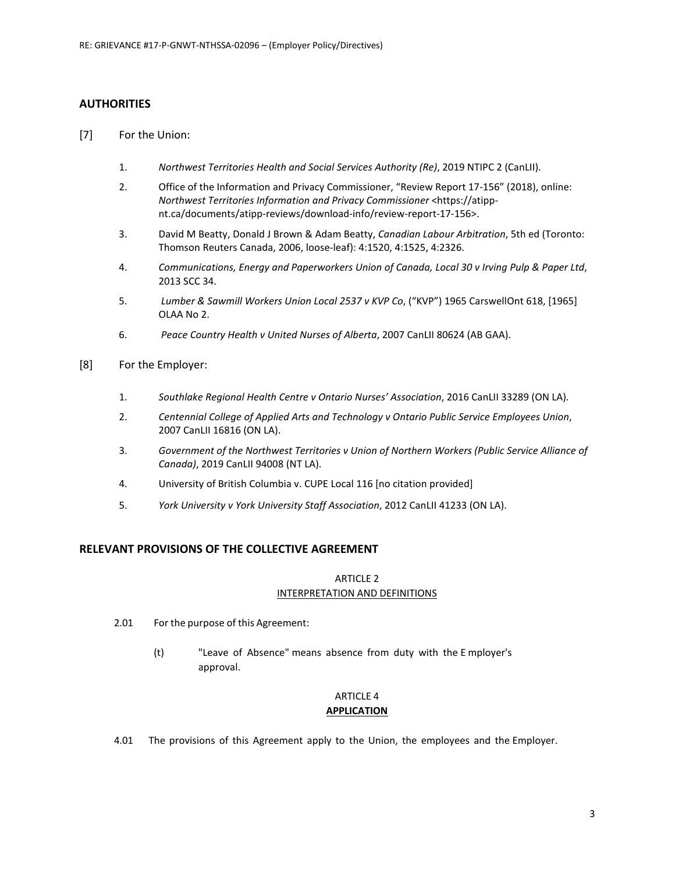### **AUTHORITIES**

- [7] For the Union:
	- 1. *Northwest Territories Health and Social Services Authority (Re)*, 2019 NTIPC 2 (CanLII).
	- 2. Office of the Information and Privacy Commissioner, "Review Report 17-156" (2018), online: *Northwest Territories Information and Privacy Commissioner* <https://atippnt.ca/documents/atipp-reviews/download-info/review-report-17-156>.
	- 3. David M Beatty, Donald J Brown & Adam Beatty, *Canadian Labour Arbitration*, 5th ed (Toronto: Thomson Reuters Canada, 2006, loose-leaf): 4:1520, 4:1525, 4:2326.
	- 4. *Communications, Energy and Paperworkers Union of Canada, Local 30 v Irving Pulp & Paper Ltd*, 2013 SCC 34.
	- 5. *Lumber & Sawmill Workers Union Local 2537 v KVP Co*, ("KVP") 1965 CarswellOnt 618, [1965] OLAA No 2.
	- 6. *Peace Country Health v United Nurses of Alberta*, 2007 CanLII 80624 (AB GAA).
- [8] For the Employer:
	- 1. *Southlake Regional Health Centre v Ontario Nurses' Association*, 2016 CanLII 33289 (ON LA).
	- 2. *Centennial College of Applied Arts and Technology v Ontario Public Service Employees Union*, 2007 CanLII 16816 (ON LA).
	- 3. *Government of the Northwest Territories v Union of Northern Workers (Public Service Alliance of Canada)*, 2019 CanLII 94008 (NT LA).
	- 4. University of British Columbia v. CUPE Local 116 [no citation provided]
	- 5. *York University v York University Staff Association*, 2012 CanLII 41233 (ON LA).

## **RELEVANT PROVISIONS OF THE COLLECTIVE AGREEMENT**

### ARTICLE 2

#### INTERPRETATION AND DEFINITIONS

- 2.01 For the purpose of this Agreement:
	- (t) "Leave of Absence" means absence from duty with the E mployer's approval.

### ARTICLE 4 **APPLICATION**

4.01 The provisions of this Agreement apply to the Union, the employees and the Employer.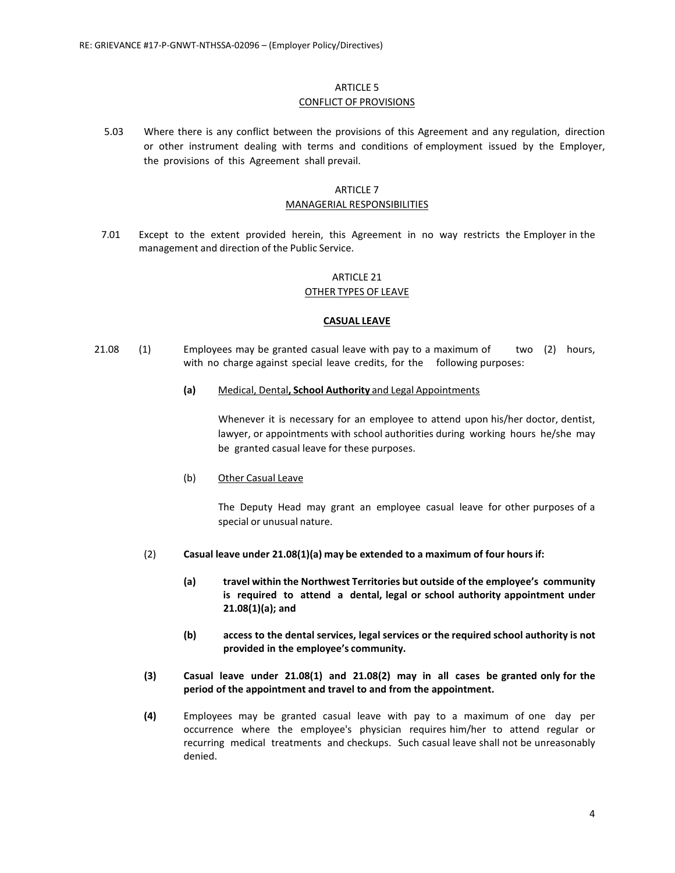### ARTICLE 5 CONFLICT OF PROVISIONS

5.03 Where there is any conflict between the provisions of this Agreement and any regulation, direction or other instrument dealing with terms and conditions of employment issued by the Employer, the provisions of this Agreement shall prevail.

# ARTICLE 7

### MANAGERIAL RESPONSIBILITIES

7.01 Except to the extent provided herein, this Agreement in no way restricts the Employer in the management and direction of the Public Service.

### ARTICLE 21

### OTHER TYPES OF LEAVE

### **CASUAL LEAVE**

- 21.08 (1) Employees may be granted casual leave with pay to a maximum of two (2) hours, with no charge against special leave credits, for the following purposes:
	- **(a)** Medical, Dental**, School Authority** and Legal Appointments

Whenever it is necessary for an employee to attend upon his/her doctor, dentist, lawyer, or appointments with school authorities during working hours he/she may be granted casual leave for these purposes.

(b) Other Casual Leave

The Deputy Head may grant an employee casual leave for other purposes of a special or unusual nature.

- (2) **Casual leave under 21.08(1)(a) may be extended to a maximum of four hours if:**
	- **(a) travel within the Northwest Territories but outside of the employee's community is required to attend a dental, legal or school authority appointment under 21.08(1)(a); and**
	- **(b) access to the dental services, legal services or the required school authority is not provided in the employee's community.**
- **(3) Casual leave under 21.08(1) and 21.08(2) may in all cases be granted only for the period of the appointment and travel to and from the appointment.**
- **(4)** Employees may be granted casual leave with pay to a maximum of one day per occurrence where the employee's physician requires him/her to attend regular or recurring medical treatments and checkups. Such casual leave shall not be unreasonably denied.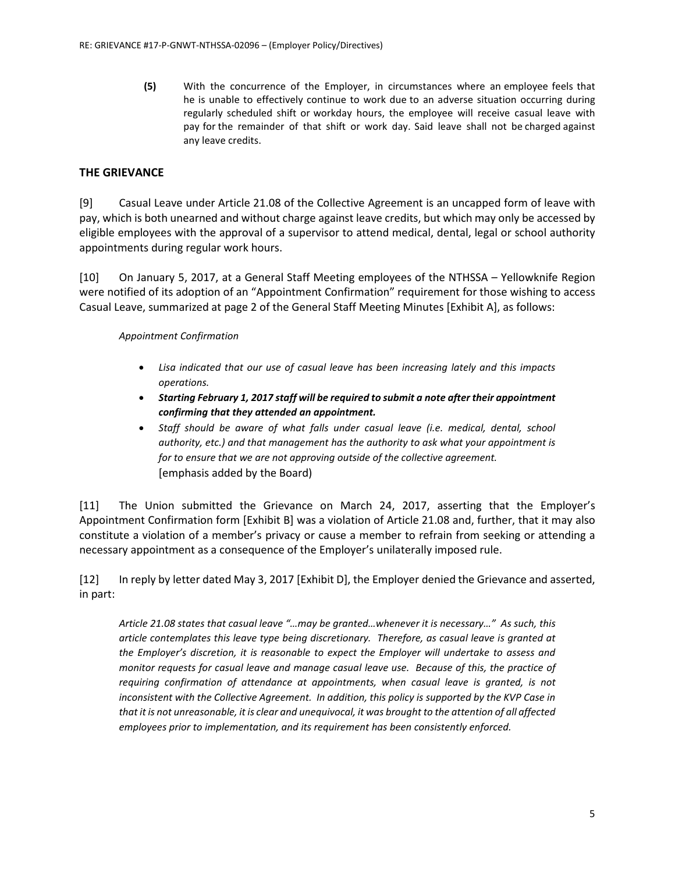**(5)** With the concurrence of the Employer, in circumstances where an employee feels that he is unable to effectively continue to work due to an adverse situation occurring during regularly scheduled shift or workday hours, the employee will receive casual leave with pay for the remainder of that shift or work day. Said leave shall not be charged against any leave credits.

# **THE GRIEVANCE**

[9] Casual Leave under Article 21.08 of the Collective Agreement is an uncapped form of leave with pay, which is both unearned and without charge against leave credits, but which may only be accessed by eligible employees with the approval of a supervisor to attend medical, dental, legal or school authority appointments during regular work hours.

[10] On January 5, 2017, at a General Staff Meeting employees of the NTHSSA – Yellowknife Region were notified of its adoption of an "Appointment Confirmation" requirement for those wishing to access Casual Leave, summarized at page 2 of the General Staff Meeting Minutes [Exhibit A], as follows:

### *Appointment Confirmation*

- *Lisa indicated that our use of casual leave has been increasing lately and this impacts operations.*
- *Starting February 1, 2017 staff will be required to submit a note after their appointment confirming that they attended an appointment.*
- *Staff should be aware of what falls under casual leave (i.e. medical, dental, school authority, etc.) and that management has the authority to ask what your appointment is for to ensure that we are not approving outside of the collective agreement.* [emphasis added by the Board)

[11] The Union submitted the Grievance on March 24, 2017, asserting that the Employer's Appointment Confirmation form [Exhibit B] was a violation of Article 21.08 and, further, that it may also constitute a violation of a member's privacy or cause a member to refrain from seeking or attending a necessary appointment as a consequence of the Employer's unilaterally imposed rule.

[12] In reply by letter dated May 3, 2017 [Exhibit D], the Employer denied the Grievance and asserted, in part:

*Article 21.08 states that casual leave "…may be granted…whenever it is necessary…" As such, this article contemplates this leave type being discretionary. Therefore, as casual leave is granted at the Employer's discretion, it is reasonable to expect the Employer will undertake to assess and monitor requests for casual leave and manage casual leave use. Because of this, the practice of requiring confirmation of attendance at appointments, when casual leave is granted, is not inconsistent with the Collective Agreement. In addition, this policy is supported by the KVP Case in that it is not unreasonable, it is clear and unequivocal, it was brought to the attention of all affected employees prior to implementation, and its requirement has been consistently enforced.*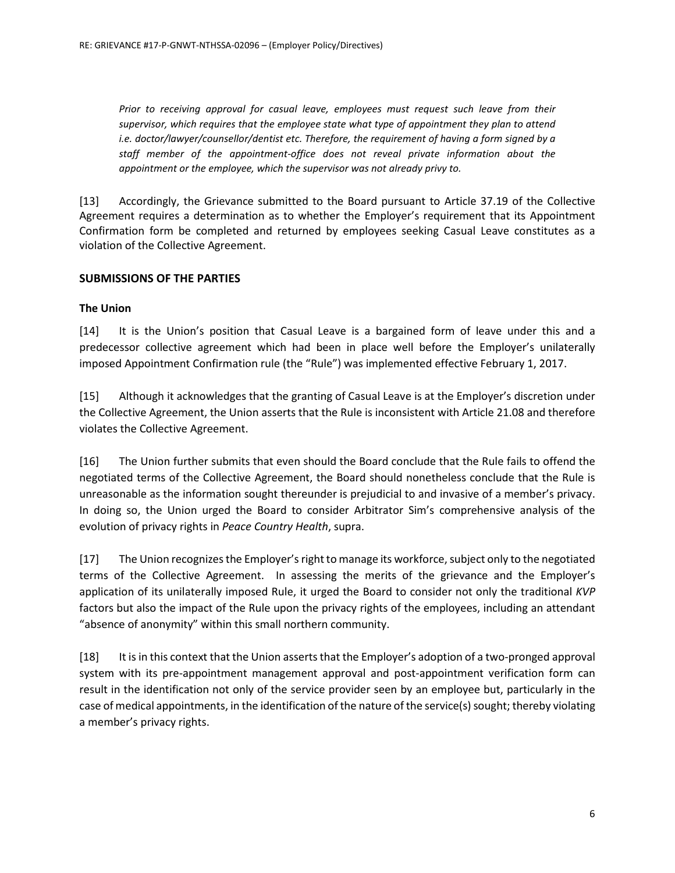*Prior to receiving approval for casual leave, employees must request such leave from their supervisor, which requires that the employee state what type of appointment they plan to attend i.e. doctor/lawyer/counsellor/dentist etc. Therefore, the requirement of having a form signed by a staff member of the appointment-office does not reveal private information about the appointment or the employee, which the supervisor was not already privy to.*

[13] Accordingly, the Grievance submitted to the Board pursuant to Article 37.19 of the Collective Agreement requires a determination as to whether the Employer's requirement that its Appointment Confirmation form be completed and returned by employees seeking Casual Leave constitutes as a violation of the Collective Agreement.

## **SUBMISSIONS OF THE PARTIES**

## **The Union**

[14] It is the Union's position that Casual Leave is a bargained form of leave under this and a predecessor collective agreement which had been in place well before the Employer's unilaterally imposed Appointment Confirmation rule (the "Rule") was implemented effective February 1, 2017.

[15] Although it acknowledges that the granting of Casual Leave is at the Employer's discretion under the Collective Agreement, the Union asserts that the Rule is inconsistent with Article 21.08 and therefore violates the Collective Agreement.

[16] The Union further submits that even should the Board conclude that the Rule fails to offend the negotiated terms of the Collective Agreement, the Board should nonetheless conclude that the Rule is unreasonable as the information sought thereunder is prejudicial to and invasive of a member's privacy. In doing so, the Union urged the Board to consider Arbitrator Sim's comprehensive analysis of the evolution of privacy rights in *Peace Country Health*, supra.

[17] The Union recognizes the Employer's right to manage its workforce, subject only to the negotiated terms of the Collective Agreement. In assessing the merits of the grievance and the Employer's application of its unilaterally imposed Rule, it urged the Board to consider not only the traditional *KVP* factors but also the impact of the Rule upon the privacy rights of the employees, including an attendant "absence of anonymity" within this small northern community.

[18] It is in this context that the Union asserts that the Employer's adoption of a two-pronged approval system with its pre-appointment management approval and post-appointment verification form can result in the identification not only of the service provider seen by an employee but, particularly in the case of medical appointments, in the identification of the nature of the service(s) sought; thereby violating a member's privacy rights.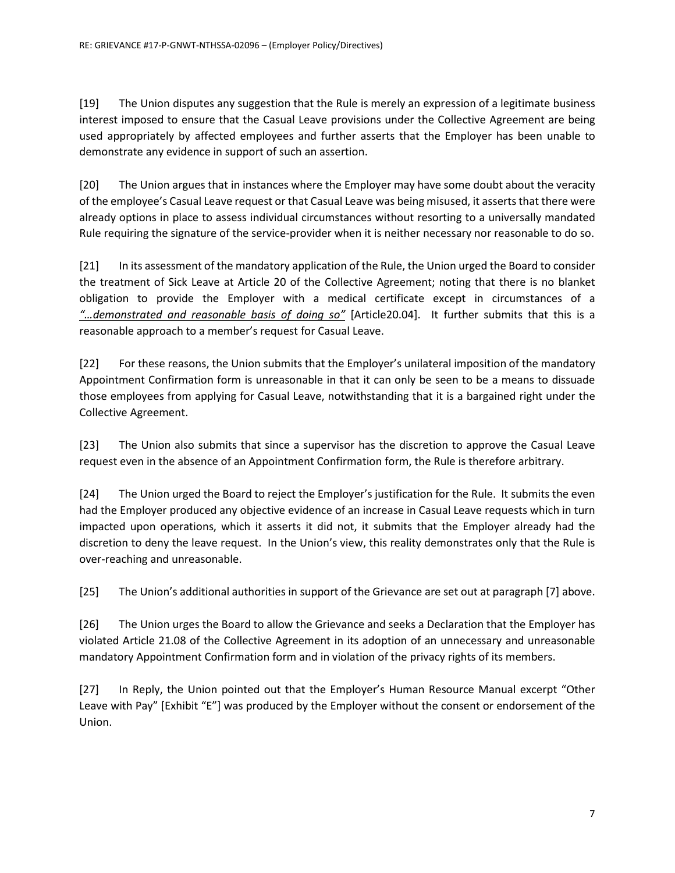[19] The Union disputes any suggestion that the Rule is merely an expression of a legitimate business interest imposed to ensure that the Casual Leave provisions under the Collective Agreement are being used appropriately by affected employees and further asserts that the Employer has been unable to demonstrate any evidence in support of such an assertion.

[20] The Union argues that in instances where the Employer may have some doubt about the veracity of the employee's Casual Leave request or that Casual Leave was being misused, it asserts that there were already options in place to assess individual circumstances without resorting to a universally mandated Rule requiring the signature of the service-provider when it is neither necessary nor reasonable to do so.

[21] In its assessment of the mandatory application of the Rule, the Union urged the Board to consider the treatment of Sick Leave at Article 20 of the Collective Agreement; noting that there is no blanket obligation to provide the Employer with a medical certificate except in circumstances of a *"…demonstrated and reasonable basis of doing so"* [Article20.04]. It further submits that this is a reasonable approach to a member's request for Casual Leave.

[22] For these reasons, the Union submits that the Employer's unilateral imposition of the mandatory Appointment Confirmation form is unreasonable in that it can only be seen to be a means to dissuade those employees from applying for Casual Leave, notwithstanding that it is a bargained right under the Collective Agreement.

[23] The Union also submits that since a supervisor has the discretion to approve the Casual Leave request even in the absence of an Appointment Confirmation form, the Rule is therefore arbitrary.

[24] The Union urged the Board to reject the Employer's justification for the Rule. It submits the even had the Employer produced any objective evidence of an increase in Casual Leave requests which in turn impacted upon operations, which it asserts it did not, it submits that the Employer already had the discretion to deny the leave request. In the Union's view, this reality demonstrates only that the Rule is over-reaching and unreasonable.

[25] The Union's additional authorities in support of the Grievance are set out at paragraph [7] above.

[26] The Union urges the Board to allow the Grievance and seeks a Declaration that the Employer has violated Article 21.08 of the Collective Agreement in its adoption of an unnecessary and unreasonable mandatory Appointment Confirmation form and in violation of the privacy rights of its members.

[27] In Reply, the Union pointed out that the Employer's Human Resource Manual excerpt "Other Leave with Pay" [Exhibit "E"] was produced by the Employer without the consent or endorsement of the Union.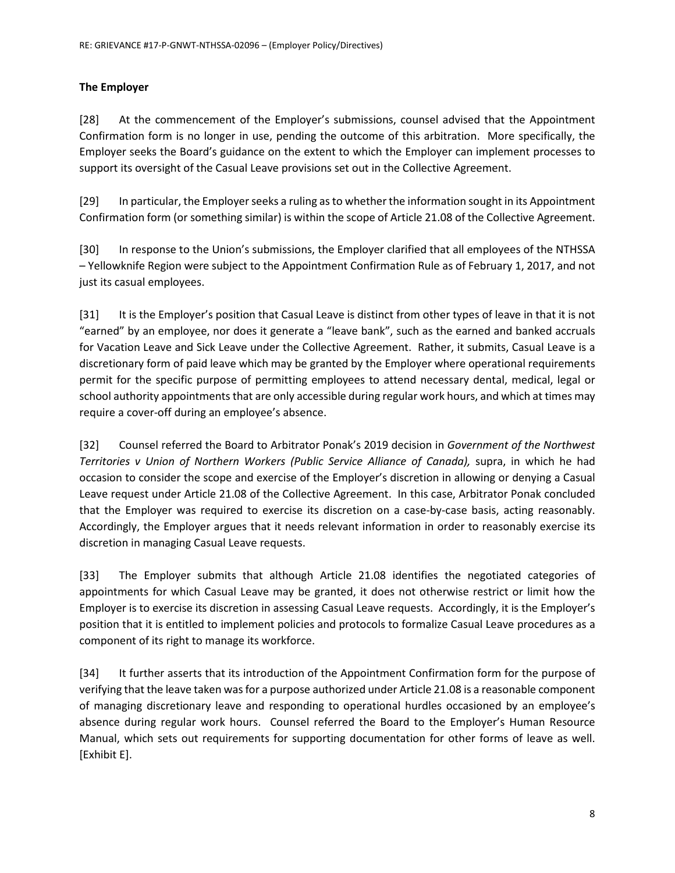# **The Employer**

[28] At the commencement of the Employer's submissions, counsel advised that the Appointment Confirmation form is no longer in use, pending the outcome of this arbitration. More specifically, the Employer seeks the Board's guidance on the extent to which the Employer can implement processes to support its oversight of the Casual Leave provisions set out in the Collective Agreement.

[29] In particular, the Employer seeks a ruling as to whether the information sought in its Appointment Confirmation form (or something similar) is within the scope of Article 21.08 of the Collective Agreement.

[30] In response to the Union's submissions, the Employer clarified that all employees of the NTHSSA – Yellowknife Region were subject to the Appointment Confirmation Rule as of February 1, 2017, and not just its casual employees.

[31] It is the Employer's position that Casual Leave is distinct from other types of leave in that it is not "earned" by an employee, nor does it generate a "leave bank", such as the earned and banked accruals for Vacation Leave and Sick Leave under the Collective Agreement. Rather, it submits, Casual Leave is a discretionary form of paid leave which may be granted by the Employer where operational requirements permit for the specific purpose of permitting employees to attend necessary dental, medical, legal or school authority appointments that are only accessible during regular work hours, and which at times may require a cover-off during an employee's absence.

[32] Counsel referred the Board to Arbitrator Ponak's 2019 decision in *Government of the Northwest Territories v Union of Northern Workers (Public Service Alliance of Canada), supra, in which he had* occasion to consider the scope and exercise of the Employer's discretion in allowing or denying a Casual Leave request under Article 21.08 of the Collective Agreement. In this case, Arbitrator Ponak concluded that the Employer was required to exercise its discretion on a case-by-case basis, acting reasonably. Accordingly, the Employer argues that it needs relevant information in order to reasonably exercise its discretion in managing Casual Leave requests.

[33] The Employer submits that although Article 21.08 identifies the negotiated categories of appointments for which Casual Leave may be granted, it does not otherwise restrict or limit how the Employer is to exercise its discretion in assessing Casual Leave requests. Accordingly, it is the Employer's position that it is entitled to implement policies and protocols to formalize Casual Leave procedures as a component of its right to manage its workforce.

[34] It further asserts that its introduction of the Appointment Confirmation form for the purpose of verifying that the leave taken was for a purpose authorized under Article 21.08 is a reasonable component of managing discretionary leave and responding to operational hurdles occasioned by an employee's absence during regular work hours. Counsel referred the Board to the Employer's Human Resource Manual, which sets out requirements for supporting documentation for other forms of leave as well. [Exhibit E].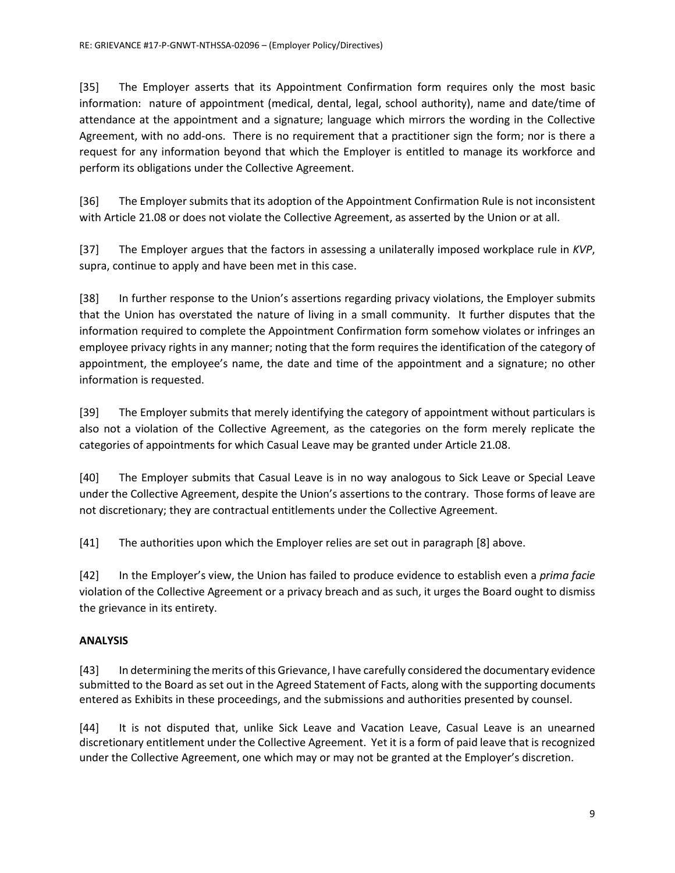[35] The Employer asserts that its Appointment Confirmation form requires only the most basic information: nature of appointment (medical, dental, legal, school authority), name and date/time of attendance at the appointment and a signature; language which mirrors the wording in the Collective Agreement, with no add-ons. There is no requirement that a practitioner sign the form; nor is there a request for any information beyond that which the Employer is entitled to manage its workforce and perform its obligations under the Collective Agreement.

[36] The Employer submits that its adoption of the Appointment Confirmation Rule is not inconsistent with Article 21.08 or does not violate the Collective Agreement, as asserted by the Union or at all.

[37] The Employer argues that the factors in assessing a unilaterally imposed workplace rule in *KVP*, supra, continue to apply and have been met in this case.

[38] In further response to the Union's assertions regarding privacy violations, the Employer submits that the Union has overstated the nature of living in a small community. It further disputes that the information required to complete the Appointment Confirmation form somehow violates or infringes an employee privacy rights in any manner; noting that the form requires the identification of the category of appointment, the employee's name, the date and time of the appointment and a signature; no other information is requested.

[39] The Employer submits that merely identifying the category of appointment without particulars is also not a violation of the Collective Agreement, as the categories on the form merely replicate the categories of appointments for which Casual Leave may be granted under Article 21.08.

[40] The Employer submits that Casual Leave is in no way analogous to Sick Leave or Special Leave under the Collective Agreement, despite the Union's assertions to the contrary. Those forms of leave are not discretionary; they are contractual entitlements under the Collective Agreement.

[41] The authorities upon which the Employer relies are set out in paragraph [8] above.

[42] In the Employer's view, the Union has failed to produce evidence to establish even a *prima facie*  violation of the Collective Agreement or a privacy breach and as such, it urges the Board ought to dismiss the grievance in its entirety.

## **ANALYSIS**

[43] In determining the merits of this Grievance, I have carefully considered the documentary evidence submitted to the Board as set out in the Agreed Statement of Facts, along with the supporting documents entered as Exhibits in these proceedings, and the submissions and authorities presented by counsel.

[44] It is not disputed that, unlike Sick Leave and Vacation Leave, Casual Leave is an unearned discretionary entitlement under the Collective Agreement. Yet it is a form of paid leave that is recognized under the Collective Agreement, one which may or may not be granted at the Employer's discretion.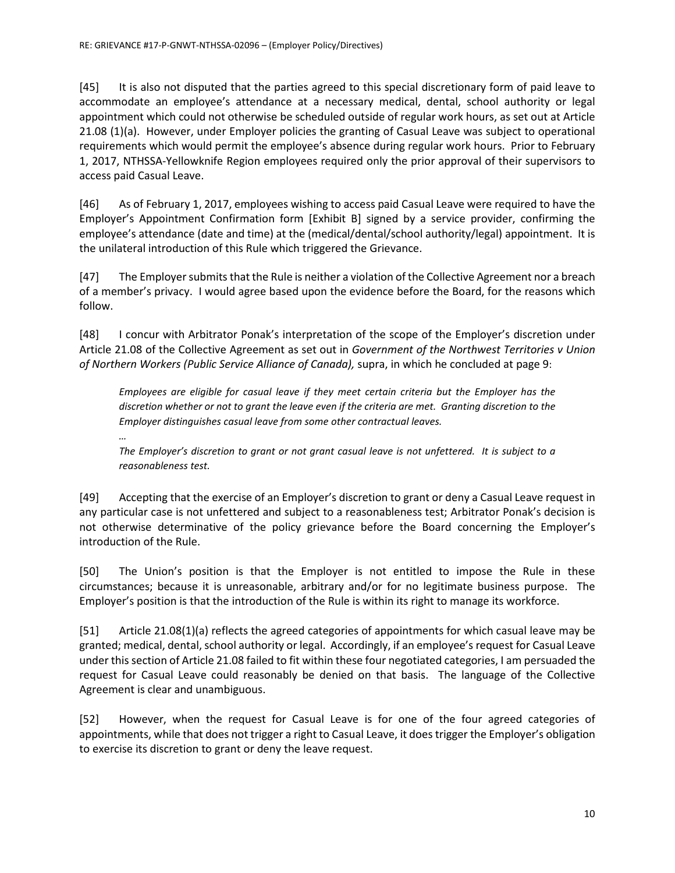[45] It is also not disputed that the parties agreed to this special discretionary form of paid leave to accommodate an employee's attendance at a necessary medical, dental, school authority or legal appointment which could not otherwise be scheduled outside of regular work hours, as set out at Article 21.08 (1)(a). However, under Employer policies the granting of Casual Leave was subject to operational requirements which would permit the employee's absence during regular work hours. Prior to February 1, 2017, NTHSSA-Yellowknife Region employees required only the prior approval of their supervisors to access paid Casual Leave.

[46] As of February 1, 2017, employees wishing to access paid Casual Leave were required to have the Employer's Appointment Confirmation form [Exhibit B] signed by a service provider, confirming the employee's attendance (date and time) at the (medical/dental/school authority/legal) appointment. It is the unilateral introduction of this Rule which triggered the Grievance.

[47] The Employer submits that the Rule is neither a violation of the Collective Agreement nor a breach of a member's privacy. I would agree based upon the evidence before the Board, for the reasons which follow.

[48] I concur with Arbitrator Ponak's interpretation of the scope of the Employer's discretion under Article 21.08 of the Collective Agreement as set out in *Government of the Northwest Territories v Union of Northern Workers (Public Service Alliance of Canada),* supra, in which he concluded at page 9:

*Employees are eligible for casual leave if they meet certain criteria but the Employer has the discretion whether or not to grant the leave even if the criteria are met. Granting discretion to the Employer distinguishes casual leave from some other contractual leaves.*

*…*

*The Employer's discretion to grant or not grant casual leave is not unfettered. It is subject to a reasonableness test.*

[49] Accepting that the exercise of an Employer's discretion to grant or deny a Casual Leave request in any particular case is not unfettered and subject to a reasonableness test; Arbitrator Ponak's decision is not otherwise determinative of the policy grievance before the Board concerning the Employer's introduction of the Rule.

[50] The Union's position is that the Employer is not entitled to impose the Rule in these circumstances; because it is unreasonable, arbitrary and/or for no legitimate business purpose. The Employer's position is that the introduction of the Rule is within its right to manage its workforce.

[51] Article 21.08(1)(a) reflects the agreed categories of appointments for which casual leave may be granted; medical, dental, school authority or legal. Accordingly, if an employee's request for Casual Leave under this section of Article 21.08 failed to fit within these four negotiated categories, I am persuaded the request for Casual Leave could reasonably be denied on that basis. The language of the Collective Agreement is clear and unambiguous.

[52] However, when the request for Casual Leave is for one of the four agreed categories of appointments, while that does not trigger a right to Casual Leave, it does trigger the Employer's obligation to exercise its discretion to grant or deny the leave request.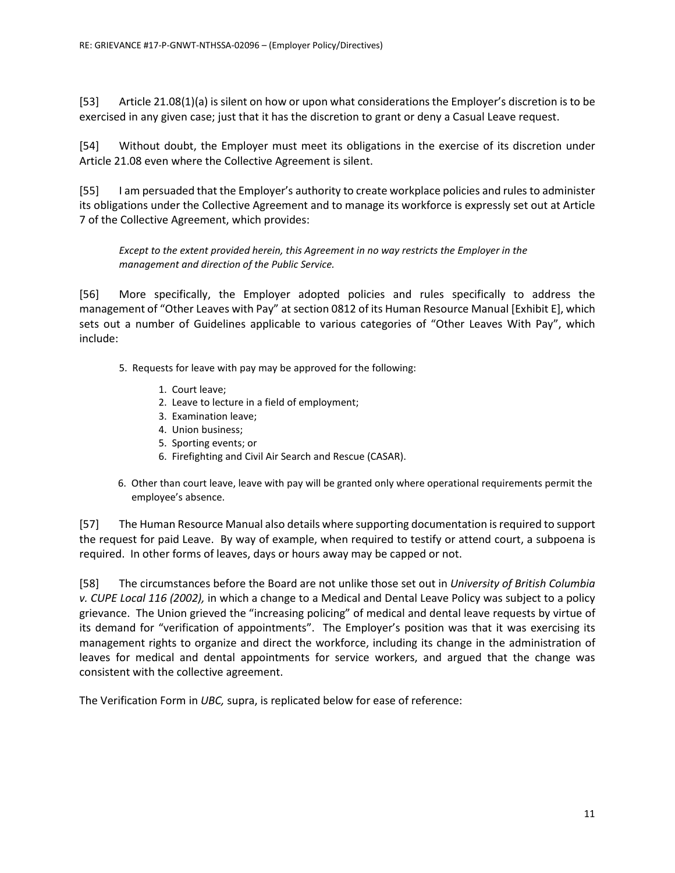[53] Article 21.08(1)(a) is silent on how or upon what considerations the Employer's discretion is to be exercised in any given case; just that it has the discretion to grant or deny a Casual Leave request.

[54] Without doubt, the Employer must meet its obligations in the exercise of its discretion under Article 21.08 even where the Collective Agreement is silent.

[55] I am persuaded that the Employer's authority to create workplace policies and rules to administer its obligations under the Collective Agreement and to manage its workforce is expressly set out at Article 7 of the Collective Agreement, which provides:

*Except to the extent provided herein, this Agreement in no way restricts the Employer in the management and direction of the Public Service.*

[56] More specifically, the Employer adopted policies and rules specifically to address the management of "Other Leaves with Pay" at section 0812 of its Human Resource Manual [Exhibit E], which sets out a number of Guidelines applicable to various categories of "Other Leaves With Pay", which include:

- 5. Requests for leave with pay may be approved for the following:
	- 1. Court leave;
	- 2. Leave to lecture in a field of employment;
	- 3. Examination leave;
	- 4. Union business;
	- 5. Sporting events; or
	- 6. Firefighting and Civil Air Search and Rescue (CASAR).
- 6. Other than court leave, leave with pay will be granted only where operational requirements permit the employee's absence.

[57] The Human Resource Manual also details where supporting documentation is required to support the request for paid Leave. By way of example, when required to testify or attend court, a subpoena is required. In other forms of leaves, days or hours away may be capped or not.

[58] The circumstances before the Board are not unlike those set out in *University of British Columbia v. CUPE Local 116 (2002),* in which a change to a Medical and Dental Leave Policy was subject to a policy grievance. The Union grieved the "increasing policing" of medical and dental leave requests by virtue of its demand for "verification of appointments". The Employer's position was that it was exercising its management rights to organize and direct the workforce, including its change in the administration of leaves for medical and dental appointments for service workers, and argued that the change was consistent with the collective agreement.

The Verification Form in *UBC,* supra, is replicated below for ease of reference: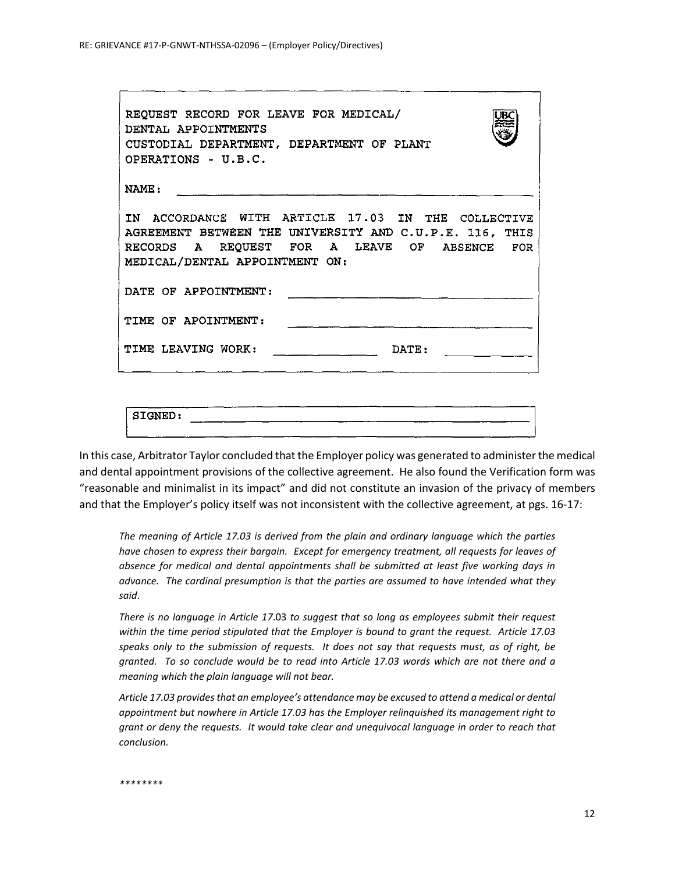| REQUEST RECORD FOR LEAVE FOR MEDICAL/<br>DENTAL APPOINTMENTS<br>CUSTODIAL DEPARTMENT, DEPARTMENT OF PLANT<br>OPERATIONS - U.B.C.                                                                |  |  |  |  |  |  |  |  |
|-------------------------------------------------------------------------------------------------------------------------------------------------------------------------------------------------|--|--|--|--|--|--|--|--|
| <b>NAME :</b>                                                                                                                                                                                   |  |  |  |  |  |  |  |  |
| IN ACCORDANCE WITH ARTICLE 17.03 IN THE COLLECTIVE<br>AGREEMENT BETWEEN THE UNIVERSITY AND C.U.P.E. 116, THIS<br>RECORDS A REQUEST FOR A LEAVE OF ABSENCE FOR<br>MEDICAL/DENTAL APPOINTMENT ON: |  |  |  |  |  |  |  |  |
| DATE OF APPOINTMENT:                                                                                                                                                                            |  |  |  |  |  |  |  |  |
| TIME OF APOINTMENT:                                                                                                                                                                             |  |  |  |  |  |  |  |  |
| TIME LEAVING WORK:<br>DATE:                                                                                                                                                                     |  |  |  |  |  |  |  |  |
|                                                                                                                                                                                                 |  |  |  |  |  |  |  |  |

|             |  |    | ---- |      |    |  |
|-------------|--|----|------|------|----|--|
|             |  |    |      |      |    |  |
| SIGNED:     |  |    |      |      |    |  |
|             |  | ست |      | سمعت |    |  |
|             |  |    |      |      |    |  |
|             |  |    |      |      |    |  |
| -----<br>__ |  |    |      |      | __ |  |

In this case, Arbitrator Taylor concluded that the Employer policy was generated to administer the medical and dental appointment provisions of the collective agreement. He also found the Verification form was "reasonable and minimalist in its impact" and did not constitute an invasion of the privacy of members and that the Employer's policy itself was not inconsistent with the collective agreement, at pgs. 16-17:

*The meaning of Article 17.03 is derived from the plain and ordinary language which the parties have chosen to express their bargain. Except for emergency treatment, all requests for leaves of absence for medical and dental appointments shall be submitted at least five working days in*  advance. The cardinal presumption is that the parties are assumed to have intended what they *said*.

*There is no language in Article 17*.03 *to suggest that so long as employees submit their request within the time period stipulated that the Employer is bound to grant the request. Article 17.03 speaks only to the submission of requests. It does not say that requests must, as of right, be granted. To so conclude would be to read into Article 17.03 words which are not there and a meaning which the plain language will not bear.*

*Article 17.03 provides that an employee's attendance may be excused to attend a medical or dental appointment but nowhere in Article 17.03 has the Employer relinquished its management right to grant or deny the requests. It would take clear and unequivocal language in order to reach that conclusion.*

```
********
```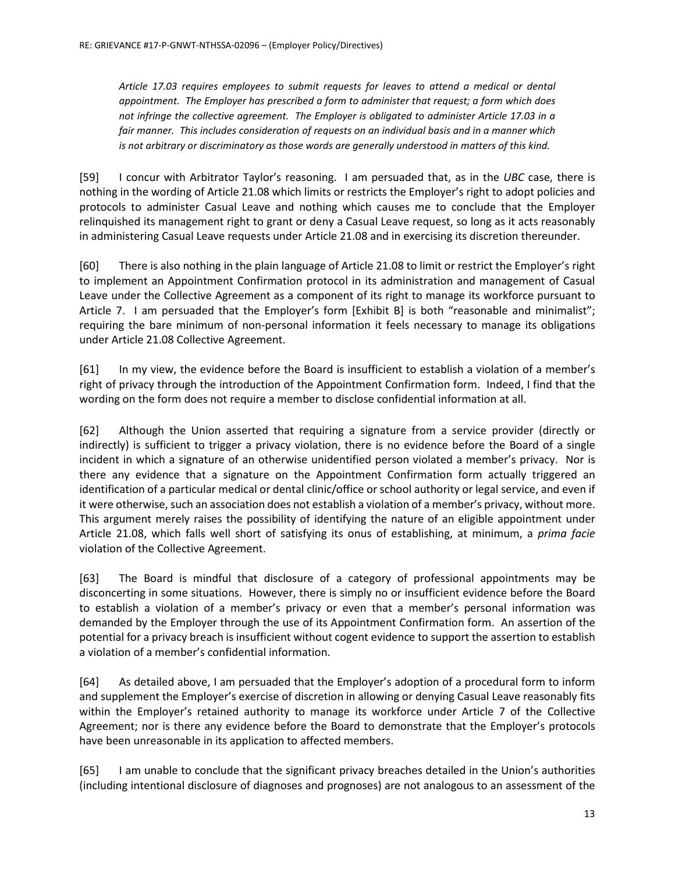*Article 17.03 requires employees to submit requests for leaves to attend a medical or dental appointment. The Employer has prescribed a form to administer that request; a form which does not infringe the collective agreement. The Employer is obligated to administer Article 17.03 in a fair manner. This includes consideration of requests on an individual basis and in a manner which is not arbitrary or discriminatory as those words are generally understood in matters of this kind.*

[59] I concur with Arbitrator Taylor's reasoning. I am persuaded that, as in the *UBC* case, there is nothing in the wording of Article 21.08 which limits or restricts the Employer's right to adopt policies and protocols to administer Casual Leave and nothing which causes me to conclude that the Employer relinquished its management right to grant or deny a Casual Leave request, so long as it acts reasonably in administering Casual Leave requests under Article 21.08 and in exercising its discretion thereunder.

[60] There is also nothing in the plain language of Article 21.08 to limit or restrict the Employer's right to implement an Appointment Confirmation protocol in its administration and management of Casual Leave under the Collective Agreement as a component of its right to manage its workforce pursuant to Article 7. I am persuaded that the Employer's form [Exhibit B] is both "reasonable and minimalist"; requiring the bare minimum of non-personal information it feels necessary to manage its obligations under Article 21.08 Collective Agreement.

[61] In my view, the evidence before the Board is insufficient to establish a violation of a member's right of privacy through the introduction of the Appointment Confirmation form. Indeed, I find that the wording on the form does not require a member to disclose confidential information at all.

[62] Although the Union asserted that requiring a signature from a service provider (directly or indirectly) is sufficient to trigger a privacy violation, there is no evidence before the Board of a single incident in which a signature of an otherwise unidentified person violated a member's privacy. Nor is there any evidence that a signature on the Appointment Confirmation form actually triggered an identification of a particular medical or dental clinic/office or school authority or legal service, and even if it were otherwise, such an association does not establish a violation of a member's privacy, without more. This argument merely raises the possibility of identifying the nature of an eligible appointment under Article 21.08, which falls well short of satisfying its onus of establishing, at minimum, a *prima facie*  violation of the Collective Agreement.

[63] The Board is mindful that disclosure of a category of professional appointments may be disconcerting in some situations. However, there is simply no or insufficient evidence before the Board to establish a violation of a member's privacy or even that a member's personal information was demanded by the Employer through the use of its Appointment Confirmation form. An assertion of the potential for a privacy breach is insufficient without cogent evidence to support the assertion to establish a violation of a member's confidential information.

[64] As detailed above, I am persuaded that the Employer's adoption of a procedural form to inform and supplement the Employer's exercise of discretion in allowing or denying Casual Leave reasonably fits within the Employer's retained authority to manage its workforce under Article 7 of the Collective Agreement; nor is there any evidence before the Board to demonstrate that the Employer's protocols have been unreasonable in its application to affected members.

[65] I am unable to conclude that the significant privacy breaches detailed in the Union's authorities (including intentional disclosure of diagnoses and prognoses) are not analogous to an assessment of the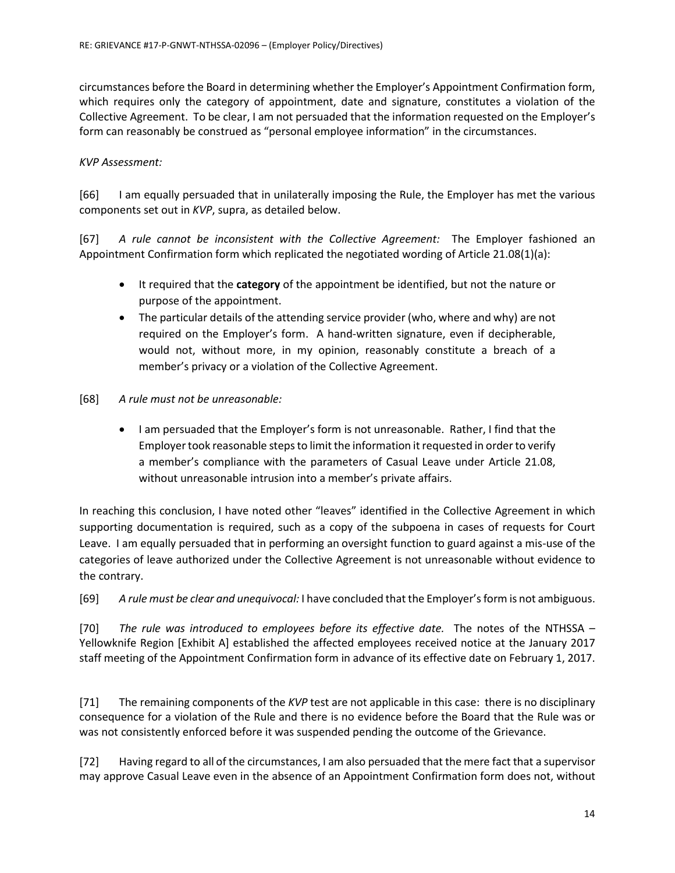circumstances before the Board in determining whether the Employer's Appointment Confirmation form, which requires only the category of appointment, date and signature, constitutes a violation of the Collective Agreement. To be clear, I am not persuaded that the information requested on the Employer's form can reasonably be construed as "personal employee information" in the circumstances.

## *KVP Assessment:*

[66] I am equally persuaded that in unilaterally imposing the Rule, the Employer has met the various components set out in *KVP*, supra, as detailed below.

[67] *A rule cannot be inconsistent with the Collective Agreement:* The Employer fashioned an Appointment Confirmation form which replicated the negotiated wording of Article 21.08(1)(a):

- It required that the **category** of the appointment be identified, but not the nature or purpose of the appointment.
- The particular details of the attending service provider (who, where and why) are not required on the Employer's form. A hand-written signature, even if decipherable, would not, without more, in my opinion, reasonably constitute a breach of a member's privacy or a violation of the Collective Agreement.
- [68] *A rule must not be unreasonable:*
	- I am persuaded that the Employer's form is not unreasonable. Rather, I find that the Employer took reasonable steps to limit the information it requested in order to verify a member's compliance with the parameters of Casual Leave under Article 21.08, without unreasonable intrusion into a member's private affairs.

In reaching this conclusion, I have noted other "leaves" identified in the Collective Agreement in which supporting documentation is required, such as a copy of the subpoena in cases of requests for Court Leave. I am equally persuaded that in performing an oversight function to guard against a mis-use of the categories of leave authorized under the Collective Agreement is not unreasonable without evidence to the contrary.

[69] *A rule must be clear and unequivocal:* I have concluded that the Employer's form is not ambiguous.

[70] *The rule was introduced to employees before its effective date.* The notes of the NTHSSA – Yellowknife Region [Exhibit A] established the affected employees received notice at the January 2017 staff meeting of the Appointment Confirmation form in advance of its effective date on February 1, 2017.

[71] The remaining components of the *KVP* test are not applicable in this case: there is no disciplinary consequence for a violation of the Rule and there is no evidence before the Board that the Rule was or was not consistently enforced before it was suspended pending the outcome of the Grievance.

[72] Having regard to all of the circumstances, I am also persuaded that the mere fact that a supervisor may approve Casual Leave even in the absence of an Appointment Confirmation form does not, without